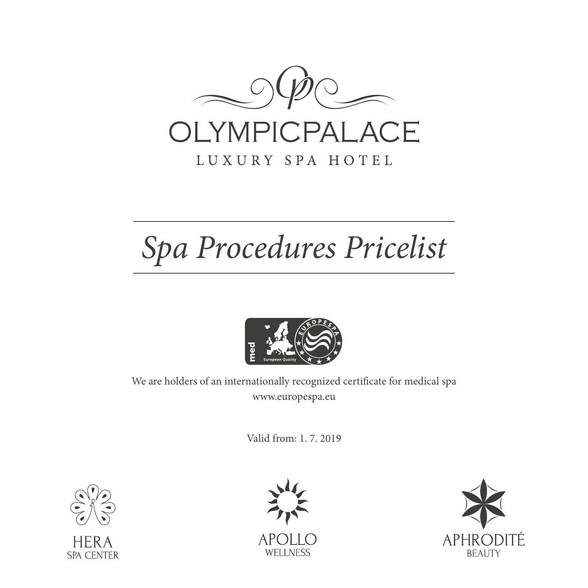

# LUXURY SPA HOTEL

# *Spa Procedures Pricelist*



We are holders of an internationally recognized certificate for medical spa www.europespa.eu

Valid from: 1. 7. 2019





APC **WELLNESS** 

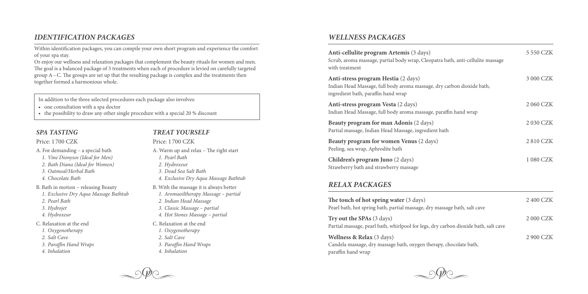#### *IDENTIFICATION PACKAGES*

Within identification packages, you can compile your own short program and experience the comfort of your spa stay.

Or enjoy our wellness and relaxation packages that complement the beauty rituals for women and men. The goal is a balanced package of 3 treatments when each of procedure is levied on carefully targeted  $g_{\text{row}}$  A – C. The groups are set up that the resulting package is complex and the treatments then together formed a harmonious whole.

In addition to the three selected procedures each package also involves:

- one consultation with a spa doctor
- the possibility to draw any other single procedure with a special 20  $%$  discount

#### *SPA TASTING*

#### Price: 1 700 CZK

A. For demanding – a special bath

- *1. Vine Dionysos (Ideal for Men)*
- *2. Bath Diana (Ideal for Women)*
- *3. Oatmeal/Herbal Bath*
- *4. Chocolate Bath*
- B. Bath in motion releasing Beauty
- *1. Exclusive Dry Aqua Massage Bathtub*
- *2. Pearl Bath*
- *3. Hydrojet*
- *4. Hydroxeur*
- C. Relaxation at the end
- *1. Oxygenotherapy*
- *2. Salt Cave*
- *3. Paraffin Hand Wraps*
- *4. Inhalation*

#### *TREAT YOURSELF*

Price: 1 700 CZK

- A. Warm up and relax The right start *1. Pearl Bath 2. Hydroxeur 3. Dead Sea Salt Bath 4. Exclusive Dry Aqua Massage Bathtub*
- B. With the massage it is always better
- *1. Aromaoiltherapy Massage partial*
- *2. Indian Head Massage*
- *3. Classic Massage partial*
- *4. Hot Stones Massage partial*
- C. Relaxation at the end
- *1. Oxygenotherapy*
- *2. Salt Cave*
- *3. Paraffin Hand Wraps*
- *4. Inhalation*

## *WELLNESS PACKAGES*

| Anti-cellulite program Artemis (3 days)<br>Scrub, aroma massage, partial body wrap, Cleopatra bath, anti-cellulite massage<br>with treatment         | 5 550 CZK |
|------------------------------------------------------------------------------------------------------------------------------------------------------|-----------|
| Anti-stress program Hestia (2 days)<br>Indian Head Massage, full body aroma massage, dry carbon dioxide bath,<br>ingredient bath, paraffin hand wrap | 3 000 CZK |
| Anti-stress program Vesta (2 days)<br>Indian Head Massage, full body aroma massage, paraffin hand wrap                                               | 2 060 CZK |
| Beauty program for man Adonis (2 days)<br>Partial massage, Indian Head Massage, ingredient bath                                                      | 2 030 CZK |
| Beauty program for women Venus (2 days)<br>Peeling, sea wrap, Aphrodite bath                                                                         | 2810 CZK  |
| Children's program Juno (2 days)<br>Strawberry bath and strawberry massage                                                                           | 1 080 CZK |

#### *RELAX PACKAGES*

| The touch of hot spring water (3 days)                                                                           | 2 400 CZK |
|------------------------------------------------------------------------------------------------------------------|-----------|
| Pearl bath, hot spring bath, partial massage, dry massage bath, salt cave                                        |           |
| Try out the SPAs (3 days)<br>Partial massage, pearl bath, whirlpool for legs, dry carbon dioxide bath, salt cave | 2 000 CZK |
| <b>Wellness &amp; Relax</b> (3 days)                                                                             | 2 900 CZK |
| Candela massage, dry massage bath, oxygen therapy, chocolate bath,                                               |           |
| paraffin hand wrap                                                                                               |           |

 $\circ$  ( ))  $\circ$ 

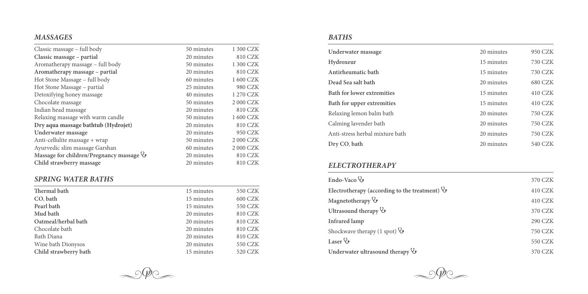# *MASSAGES*

| Classic massage – full body                   | 50 minutes | 1 300 CZK |
|-----------------------------------------------|------------|-----------|
| Classic massage – partial                     | 20 minutes | 810 CZK   |
| Aromatherapy massage - full body              | 50 minutes | 1 300 CZK |
| Aromatherapy massage – partial                | 20 minutes | 810 CZK   |
| Hot Stone Massage – full body                 | 60 minutes | 1 600 CZK |
| Hot Stone Massage – partial                   | 25 minutes | 980 CZK   |
| Detoxifying honey massage                     | 40 minutes | 1 270 CZK |
| Chocolate massage                             | 50 minutes | 2 000 CZK |
| Indian head massage                           | 20 minutes | 810 CZK   |
| Relaxing massage with warm candle             | 50 minutes | 1 600 CZK |
| Dry aqua massage bathtub (Hydrojet)           | 20 minutes | 810 CZK   |
| Underwater massage                            | 20 minutes | 950 CZK   |
| Anti-cellulite massage + wrap                 | 50 minutes | 2 000 CZK |
| Ayurvedic slim massage Garshan                | 60 minutes | 2 000 CZK |
| Massage for children/Pregnancy massage $\vee$ | 20 minutes | 810 CZK   |
| Child strawberry massage                      | 20 minutes | 810 CZK   |

# *SPRING WATER BATHS*

| Thermal bath          | 15 minutes | 550 CZK |
|-----------------------|------------|---------|
| CO <sub>b</sub> ath   | 15 minutes | 600 CZK |
| Pearl bath            | 15 minutes | 550 CZK |
| Mud bath              | 20 minutes | 810 CZK |
| Oatmeal/herbal bath   | 20 minutes | 810 CZK |
| Chocolate bath        | 20 minutes | 810 CZK |
| Bath Diana            | 20 minutes | 810 CZK |
| Wine bath Dionysos    | 20 minutes | 550 CZK |
| Child strawberry bath | 15 minutes | 520 CZK |
|                       |            |         |

## *BATHS*

| Underwater massage              | 20 minutes | 950 CZK |
|---------------------------------|------------|---------|
| Hydroxeur                       | 15 minutes | 730 CZK |
| Antirheumatic bath              | 15 minutes | 730 CZK |
| Dead Sea salt bath              | 20 minutes | 680 CZK |
| Bath for lower extremities      | 15 minutes | 410 CZK |
| Bath for upper extremities      | 15 minutes | 410 CZK |
| Relaxing lemon balm bath        | 20 minutes | 750 CZK |
| Calming lavender bath           | 20 minutes | 750 CZK |
| Anti-stress herbal mixture bath | 20 minutes | 750 CZK |
| Dry CO, bath                    | 20 minutes | 540 CZK |
|                                 |            |         |

# *ELECTROTHERAPY*

| Endo-Vaco $\mathcal{C}$                                | 370 CZK        |
|--------------------------------------------------------|----------------|
| Electrotherapy (according to the treatment) $\Diamond$ | 410 CZK        |
| Magnetotherapy $\mathcal{V}$                           | 410 CZK        |
| Ultrasound therapy $\mathcal{C}$                       | 370 CZK        |
| Infrared lamp                                          | <b>290 CZK</b> |
| Shockwave therapy (1 spot) $\mathcal{C}$               | 750 CZK        |
| Laser $\mathcal{V}$                                    | 550 CZK        |
| Underwater ultrasound therapy $\Diamond$               | 370 CZK        |



 $\rightarrow$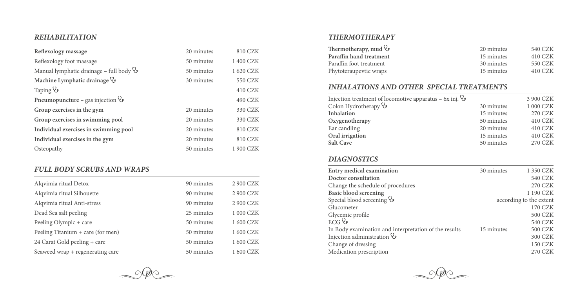## *REHABILITATION*

| Reflexology massage                                 | 20 minutes | 810 CZK   |
|-----------------------------------------------------|------------|-----------|
| Reflexology foot massage                            | 50 minutes | 1400 CZK  |
| Manual lymphatic drainage – full body $\mathcal{G}$ | 50 minutes | 1 620 CZK |
| Machine Lymphatic drainage V                        | 30 minutes | 550 CZK   |
| $Taping \mathcal{C}$                                |            | 410 CZK   |
| Pneumopuncture – gas injection $\mathcal{G}$        |            | 490 CZK   |
| Group exercises in the gym                          | 20 minutes | 330 CZK   |
| Group exercises in swimming pool                    | 20 minutes | 330 CZK   |
| Individual exercises in swimming pool               | 20 minutes | 810 CZK   |
| Individual exercises in the gym                     | 20 minutes | 810 CZK   |
| Osteopathy                                          | 50 minutes | 1 900 CZK |

## *FULL BODY SCRUBS AND WRAPS*

| Alqvimia ritual Detox             | 90 minutes | 2 900 CZK |
|-----------------------------------|------------|-----------|
| Alqvimia ritual Silhouette        | 90 minutes | 2 900 CZK |
| Alqvimia ritual Anti-stress       | 90 minutes | 2 900 CZK |
| Dead Sea salt peeling             | 25 minutes | 1 000 CZK |
| Peeling Olympic + care            | 50 minutes | 1 600 CZK |
| Peeling Titanium + care (for men) | 50 minutes | 1 600 CZK |
| 24 Carat Gold peeling + care      | 50 minutes | 1 600 CZK |
| Seaweed wrap + regenerating care  | 50 minutes | 1 600 CZK |

# *THERMOTHERAPY*

| Thermotherapy, mud $\Diamond$ | 20 minutes | 540 CZK |
|-------------------------------|------------|---------|
| Paraffin hand treatment       | 15 minutes | 410 CZK |
| Paraffin foot treatment       | 30 minutes | 550 CZK |
| Phytoteraupeytic wraps        | 15 minutes | 410 CZK |

# *INHALATIONS AND OTHER SPECIAL TREATMENTS*

| Injection treatment of locomotive apparatus – $6x$ inj. $\Diamond$ |            | 3 900 CZK      |
|--------------------------------------------------------------------|------------|----------------|
| Colon Hydrotherapy $\mathcal{G}$                                   | 30 minutes | 1 000 CZK      |
| <b>Inhalation</b>                                                  | 15 minutes | <b>270 CZK</b> |
| Oxygenotherapy                                                     | 50 minutes | 410 CZK        |
| Ear candling                                                       | 20 minutes | 410 CZK        |
| Oral irrigation                                                    | 15 minutes | 410 CZK        |
| <b>Salt Cave</b>                                                   | 50 minutes | <b>270 CZK</b> |
|                                                                    |            |                |

## *DIAGNOSTICS*

| Entry medical examination                             | 30 minutes | 1 350 CZK               |
|-------------------------------------------------------|------------|-------------------------|
| Doctor consultation                                   |            | 540 CZK                 |
| Change the schedule of procedures                     |            | <b>270 CZK</b>          |
| Basic blood screening                                 |            | 1 190 CZK               |
| Special blood screening V                             |            | according to the extent |
| Glucometer                                            |            | 170 CZK                 |
| Glycemic profile                                      |            | 500 CZK                 |
| $ECG$ $\heartsuit$                                    |            | 540 CZK                 |
| In Body examination and interpretation of the results | 15 minutes | 500 CZK                 |
| Injection administration $\mathcal{V}$                |            | 300 CZK                 |
| Change of dressing                                    |            | <b>150 CZK</b>          |
| Medication prescription                               |            | 270 CZK                 |
|                                                       |            |                         |



 $\sim$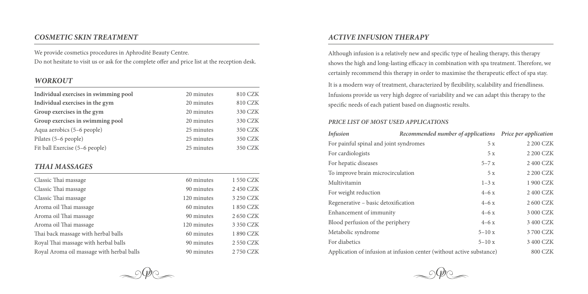#### *COSMETIC SKIN TREATMENT*

We provide cosmetics procedures in Aphrodité Beauty Centre. Do not hesitate to visit us or ask for the complete offer and price list at the reception desk.

## *WORKOUT*

| Individual exercises in swimming pool     | 20 minutes  | 810 CZK   |
|-------------------------------------------|-------------|-----------|
| Individual exercises in the gym           | 20 minutes  | 810 CZK   |
| Group exercises in the gym                | 20 minutes  | 330 CZK   |
| Group exercises in swimming pool          | 20 minutes  | 330 CZK   |
| Aqua aerobics (5–6 people)                | 25 minutes  | 350 CZK   |
| Pilates (5–6 people)                      | 25 minutes  | 350 CZK   |
| Fit ball Exercise (5–6 people)            | 25 minutes  | 350 CZK   |
|                                           |             |           |
| <b>THAI MASSAGES</b>                      |             |           |
| Classic Thai massage                      | 60 minutes  | 1 550 CZK |
| Classic Thai massage                      | 90 minutes  | 2450 CZK  |
| Classic Thai massage                      | 120 minutes | 3 250 CZK |
| Aroma oil Thai massage                    | 60 minutes  | 1850 CZK  |
| Aroma oil Thai massage                    | 90 minutes  | 2 650 CZK |
| Aroma oil Thai massage                    | 120 minutes | 3 350 CZK |
| Thai back massage with herbal balls       | 60 minutes  | 1890 CZK  |
| Royal Thai massage with herbal balls      | 90 minutes  | 2 550 CZK |
| Royal Aroma oil massage with herbal balls | 90 minutes  | 2750 CZK  |

## *ACTIVE INFUSION THERAPY*

Although infusion is a relatively new and specific type of healing therapy, this therapy shows the high and long-lasting efficacy in combination with spa treatment. Therefore, we certainly recommend this therapy in order to maximise the therapeutic effect of spa stay. It is a modern way of treatment, characterized by flexibility, scalability and friendliness. Infusions provide us very high degree of variability and we can adapt this therapy to the specific needs of each patient based on diagnostic results.

#### *PRICE LIST OF MOST USED APPLICATIONS*

| <b>Infusion</b>                                                       |  | Recommended number of applications Price per application |           |
|-----------------------------------------------------------------------|--|----------------------------------------------------------|-----------|
| For painful spinal and joint syndromes                                |  | 5 x                                                      | 2 200 CZK |
| For cardiologists                                                     |  | 5 x                                                      | 2 200 CZK |
| For hepatic diseases                                                  |  | $5 - 7x$                                                 | 2 400 CZK |
| To improve brain microcirculation                                     |  | 5 x                                                      | 2 200 CZK |
| Multivitamin                                                          |  | $1-3x$                                                   | 1 900 CZK |
| For weight reduction                                                  |  | $4 - 6x$                                                 | 2 400 CZK |
| Regenerative – basic detoxification                                   |  | $4 - 6x$                                                 | 2 600 CZK |
| Enhancement of immunity                                               |  | $4 - 6x$                                                 | 3 000 CZK |
| Blood perfusion of the periphery                                      |  | $4 - 6x$                                                 | 3 400 CZK |
| Metabolic syndrome                                                    |  | $5 - 10x$                                                | 3700 CZK  |
| For diabetics                                                         |  | $5 - 10x$                                                | 3 400 CZK |
| Application of infusion at infusion center (without active substance) |  | 800 CZK                                                  |           |



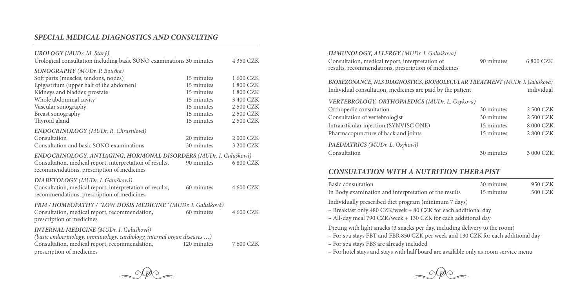# *SPECIAL MEDICAL DIAGNOSTICS AND CONSULTING*

| UROLOGY (MUDr. M. Starý)<br>Urological consultation including basic SONO examinations 30 minutes                                                                                                       |                                                      | 4 350 CZK                                      |
|--------------------------------------------------------------------------------------------------------------------------------------------------------------------------------------------------------|------------------------------------------------------|------------------------------------------------|
| SONOGRAPHY (MUDr. P. Bouška)<br>Soft parts (muscles, tendons, nodes)<br>Epigastrium (upper half of the abdomen)<br>Kidneys and bladder, prostate<br>Whole abdominal cavity                             | 15 minutes<br>15 minutes<br>15 minutes<br>15 minutes | 1 600 CZK<br>1800 CZK<br>1800 CZK<br>3 400 CZK |
| Vascular sonography<br>Breast sonography<br>Thyroid gland                                                                                                                                              | 15 minutes<br>15 minutes<br>15 minutes               | 2 500 CZK<br>2 500 CZK<br>2 500 CZK            |
| ENDOCRINOLOGY (MUDr. R. Chrastilová)<br>Consultation<br>Consultation and basic SONO examinations                                                                                                       | 20 minutes<br>30 minutes                             | 2 000 CZK<br>3 200 CZK                         |
| ENDOCRINOLOGY, ANTIAGING, HORMONAL DISORDERS (MUDr. I. Galušková)<br>Consultation, medical report, interpretation of results,<br>recommendations, prescription of medicines                            | 90 minutes                                           | 6800 CZK                                       |
| DIABETOLOGY (MUDr. I. Galušková)<br>Consultation, medical report, interpretation of results,<br>recommendations, prescription of medicines                                                             | 60 minutes                                           | 4 600 CZK                                      |
| FRM / HOMEOPATHY / "LOW DOSIS MEDICINE" (MUDr. I. Galušková)<br>Consultation, medical report, recommendation,<br>prescription of medicines                                                             | 60 minutes                                           | 4 600 CZK                                      |
| <b>INTERNAL MEDICINE</b> (MUDr. I. Galušková)<br>(basic endocrinology, immunology, cardiology, internal organ diseases )<br>Consultation, medical report, recommendation,<br>prescription of medicines | 120 minutes                                          | 7 600 CZK                                      |

| IMMUNOLOGY, ALLERGY (MUDr. I. Galušková)                                                               |            |            |  |
|--------------------------------------------------------------------------------------------------------|------------|------------|--|
| Consultation, medical report, interpretation of<br>results, recommendations, prescription of medicines | 90 minutes | 6800 CZK   |  |
| BIOREZONANCE, NLS DIAGNOSTICS, BIOMOLECULAR TREATMENT (MUDr. I. Galušková)                             |            |            |  |
| Individual consultation, medicines are paid by the patient                                             |            | individual |  |
| VERTEBROLOGY, ORTHOPAEDICS (MUDr. L. Osyková)                                                          |            |            |  |
| Orthopedic consultation                                                                                | 30 minutes | 2 500 CZK  |  |
| Consultation of vertebrologist                                                                         | 30 minutes | 2 500 CZK  |  |
| Intraarticular injection (SYNVISC ONE)                                                                 | 15 minutes | 8 000 CZK  |  |
| Pharmacopuncture of back and joints                                                                    | 15 minutes | 2800 CZK   |  |
| PAEDIATRICS (MUDr. L. Osyková)                                                                         |            |            |  |
| Consultation                                                                                           | 30 minutes | 3 000 CZK  |  |

# *CONSULTATION WITH A NUTRITION THERAPIST*

| Basic consultation                                                                                                                                                                                                                                                                                  | 30 minutes | 950 CZK        |
|-----------------------------------------------------------------------------------------------------------------------------------------------------------------------------------------------------------------------------------------------------------------------------------------------------|------------|----------------|
| In Body examination and interpretation of the results                                                                                                                                                                                                                                               | 15 minutes | <b>500 CZK</b> |
| Individually prescribed diet program (minimum 7 days)<br>- Breakfast only 480 CZK/week + 80 CZK for each additional day<br>- All-day meal 790 CZK/week + 130 CZK for each additional day                                                                                                            |            |                |
| Dieting with light snacks (3 snacks per day, including delivery to the room)<br>- For spa stays FBT and FBR 850 CZK per week and 130 CZK for each additional day<br>- For spa stays FBS are already included<br>- For hotel stays and stays with half board are available only as room service menu |            |                |



 $\sim$  order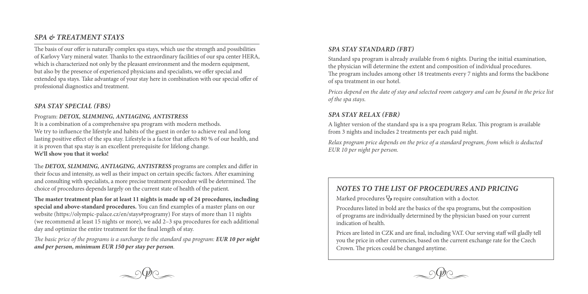## *SPA & TREATMENT STAYS*

The basis of our offer is naturally complex spa stays, which use the strength and possibilities of Karlovy Vary mineral water. Thanks to the extraordinary facilities of our spa center HERA, which is characterized not only by the pleasant environment and the modern equipment, but also by the presence of experienced physicians and specialists, we offer special and extended spa stays. Take advantage of your stay here in combination with our special offer of professional diagnostics and treatment.

#### *SPA STAY SPECIAL (FBS)*

#### Program: *DETOX, SLIMMING, ANTIAGING, ANTISTRESS*

It is a combination of a comprehensive spa program with modern methods. We try to influence the lifestyle and habits of the guest in order to achieve real and long lasting positive effect of the spa stay. Lifestyle is a factor that affects 80 % of our health, and it is proven that spa stay is an excellent prerequisite for lifelong change. **We'll show you that it works!**

The *DETOX, SLIMMING, ANTIAGING, ANTISTRESS* programs are complex and differ in their focus and intensity, as well as their impact on certain specific factors. After examining and consulting with specialists, a more precise treatment procedure will be determined. The choice of procedures depends largely on the current state of health of the patient.

**The master treatment plan for at least 11 nights is made up of 24 procedures, including special and above-standard procedures.** You can find examples of a master plans on our website (https://olympic-palace.cz/en/stays#programy) For stays of more than 11 nights (we recommend at least 15 nights or more), we add 2–3 spa procedures for each additional day and optimize the entire treatment for the final length of stay.

*The basic price of the programs is a surcharge to the standard spa program: EUR 10 per night and per person, minimum EUR 150 per stay per person.*

#### *SPA STAY STANDARD (FBT)*

Standard spa program is already available from 6 nights. During the initial examination, the physician will determine the extent and composition of individual procedures. The program includes among other 18 treatments every 7 nights and forms the backbone of spa treatment in our hotel.

*Prices depend on the date of stay and selected room category and can be found in the price list of the spa stays.*

#### *SPA STAY RELAX (FBR)*

A lighter version of the standard spa is a spa program Relax. This program is available from 3 nights and includes 2 treatments per each paid night.

*Relax program price depends on the price of a standard program, from which is deducted EUR 10 per night per person.*

## *NOTES TO THE LIST OF PROCEDURES AND PRICING*

Marked procedures  $\Diamond$  require consultation with a doctor.

Procedures listed in bold are the basics of the spa programs, but the composition of programs are individually determined by the physician based on your current indication of health.

Prices are listed in CZK and are final, including VAT. Our serving staff will gladly tell you the price in other currencies, based on the current exchange rate for the Czech Crown. The prices could be changed anytime.

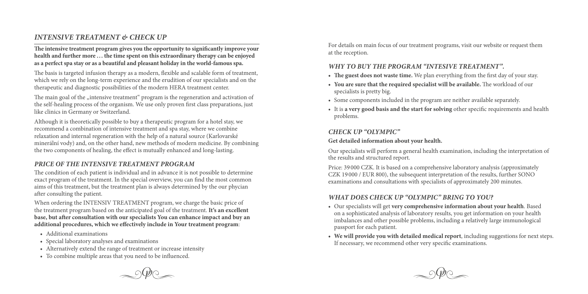# *INTENSIVE TREATMENT & CHECK UP*

**The intensive treatment program gives you the opportunity to significantly improve your health and further more ... the time spent on this extraordinary therapy can be enjoyed as a perfect spa stay or as a beautiful and pleasant holiday in the world-famous spa.**

The basis is targeted infusion therapy as a modern, flexible and scalable form of treatment, which we rely on the long-term experience and the erudition of our specialists and on the therapeutic and diagnostic possibilities of the modern HERA treatment center.

The main goal of the "intensive treatment" program is the regeneration and activation of the self-healing process of the organism. We use only proven first class preparations, just like clinics in Germany or Switzerland.

Although it is theoretically possible to buy a therapeutic program for a hotel stay, we recommend a combination of intensive treatment and spa stay, where we combine relaxation and internal regeneration with the help of a natural source (Karlovarské minerální vody) and, on the other hand, new methods of modern medicine. By combining the two components of healing, the effect is mutually enhanced and long-lasting.

#### *PRICE OF THE INTENSIVE TREATMENT PROGRAM*

The condition of each patient is individual and in advance it is not possible to determine exact program of the treatment. In the special overview, you can find the most common aims of this treatment, but the treatment plan is always determined by the our phycian after consulting the patient.

When ordering the INTENSIV TREATMENT program, we charge the basic price of the treatment program based on the anticipated goal of the treatment. **It's an excellent base, but after consultation with our specialists You can enhance impact and buy an additional procedures, which we effectively include in Your treatment program**:

- • Additional examinations
- • Special laboratory analyses and examinations
- Alternatively extend the range of treatment or increase intensity
- To combine multiple areas that you need to be influenced.



For details on main focus of our treatment programs, visit our website or request them at the reception.

#### *WHY TO BUY THE PROGRAM "INTESIVE TREATMENT".*

- The guest does not waste time. We plan everything from the first day of your stay.
- **• You are sure that the required specialist will be available.** The workload of our specialists is pretty big.
- • Some components included in the program are neither available separately.
- • It is **a very good basis and the start for solving** other specific requirements and health problems.

#### *CHECK UP "OLYMPIC"*

#### **Get detailed information about your health.**

Our specialists will perform a general health examination, including the interpretation of the results and structured report.

Price: 39 000 CZK. It is based on a comprehensive laboratory analysis (approximately CZK 19 000 / EUR 800), the subsequent interpretation of the results, further SONO examinations and consultations with specialists of approximately 200 minutes.

## *WHAT DOES CHECK UP "OLYMPIC" BRING TO YOU?*

- • Our specialists will get **very comprehensive information about your health**. Based on a sophisticated analysis of laboratory results, you get information on your health imbalances and other possible problems, including a relatively large immunological passport for each patient.
- **• We will provide you with detailed medical report**, including suggestions for next steps. If necessary, we recommend other very specific examinations.